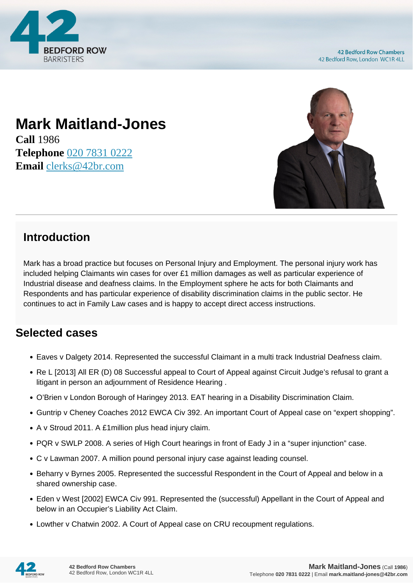

**42 Bedford Row Chambers** 42 Bedford Row, London WC1R 4LL

## **Mark Maitland-Jones**

**Call** 1986 **Telephone** [020 7831 0222](https://pdf.codeshore.co/_42br/tel:020 7831 0222) **Email** [clerks@42br.com](mailto:clerks@42br.com)



## **Introduction**

Mark has a broad practice but focuses on Personal Injury and Employment. The personal injury work has included helping Claimants win cases for over £1 million damages as well as particular experience of Industrial disease and deafness claims. In the Employment sphere he acts for both Claimants and Respondents and has particular experience of disability discrimination claims in the public sector. He continues to act in Family Law cases and is happy to accept direct access instructions.

## **Selected cases**

- Eaves v Dalgety 2014. Represented the successful Claimant in a multi track Industrial Deafness claim.
- Re L [2013] All ER (D) 08 Successful appeal to Court of Appeal against Circuit Judge's refusal to grant a litigant in person an adjournment of Residence Hearing .
- O'Brien v London Borough of Haringey 2013. EAT hearing in a Disability Discrimination Claim.
- Guntrip v Cheney Coaches 2012 EWCA Civ 392. An important Court of Appeal case on "expert shopping".
- A v Stroud 2011. A £1million plus head injury claim.
- PQR v SWLP 2008. A series of High Court hearings in front of Eady J in a "super injunction" case.
- C v Lawman 2007. A million pound personal injury case against leading counsel.
- Beharry v Byrnes 2005. Represented the successful Respondent in the Court of Appeal and below in a shared ownership case.
- Eden v West [2002] EWCA Civ 991. Represented the (successful) Appellant in the Court of Appeal and below in an Occupier's Liability Act Claim.
- Lowther v Chatwin 2002. A Court of Appeal case on CRU recoupment regulations.